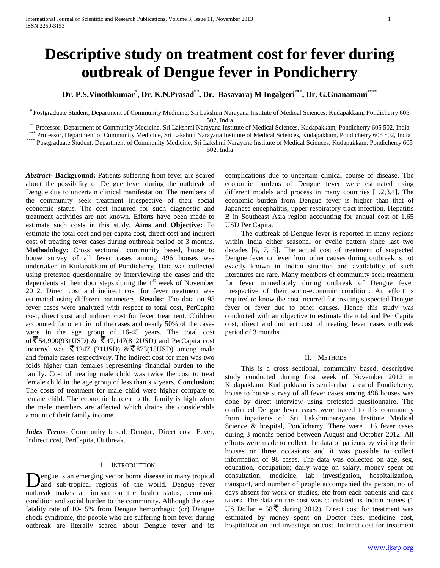# **Descriptive study on treatment cost for fever during outbreak of Dengue fever in Pondicherry**

**Dr. P.S.Vinothkumar\* , Dr. K.N.Prasad\*\* , Dr. Basavaraj M Ingalgeri\*\*\* , Dr. G.Gnanamani\*\*\*\***

\* Postgraduate Student, Department of Community Medicine, Sri Lakshmi Narayana Institute of Medical Sciences, Kudapakkam, Pondicherry 605 502, India

\*\* Professor, Department of Community Medicine, Sri Lakshmi Narayana Institute of Medical Sciences, Kudapakkam, Pondicherry 605 502, India

\*\*\* Professor, Department of Community Medicine, Sri Lakshmi Narayana Institute of Medical Sciences, Kudapakkam, Pondicherry 605 502, India

\*\*\*\* Postgraduate Student, Department of Community Medicine, Sri Lakshmi Narayana Institute of Medical Sciences, Kudapakkam, Pondicherry 605

502, India

*Abstract***- Background:** Patients suffering from fever are scared about the possibility of Dengue fever during the outbreak of Dengue due to uncertain clinical manifestation. The members of the community seek treatment irrespective of their social economic status. The cost incurred for such diagnostic and treatment activities are not known. Efforts have been made to estimate such costs in this study. **Aims and Objective:** To estimate the total cost and per capita cost, direct cost and indirect cost of treating fever cases during outbreak period of 3 months. **Methodology:** Cross sectional, community based, house to house survey of all fever cases among 496 houses was undertaken in Kudapakkam of Pondicherry. Data was collected using pretested questionnaire by interviewing the cases and the dependents at their door steps during the  $1<sup>st</sup>$  week of November 2012. Direct cost and indirect cost for fever treatment was estimated using different parameters. **Results:** The data on 98 fever cases were analyzed with respect to total cost, PerCapita cost, direct cost and indirect cost for fever treatment. Children accounted for one third of the cases and nearly 50% of the cases were in the age group of 16-45 years. The total cost of ₹54,900(931USD) & ₹47,147(812USD) and PerCapita cost incurred was  $\overline{5}$  1247 (21USD) &  $\overline{5}$  873(15USD) among male and female cases respectively. The indirect cost for men was two folds higher than females representing financial burden to the family. Cost of treating male child was twice the cost to treat female child in the age group of less than six years. **Conclusion:**  The costs of treatment for male child were higher compare to female child. The economic burden to the family is high when the male members are affected which drains the considerable amount of their family income.

*Index Terms*- Community based, Dengue, Direct cost, Fever, Indirect cost, PerCapita, Outbreak.

#### I. INTRODUCTION

engue is an emerging vector borne disease in many tropical and sub-tropical regions of the world. Dengue fever **D**engue is an emerging vector borne disease in many tropical and sub-tropical regions of the world. Dengue fever outbreak makes an impact on the health status, economic condition and social burden to the community. Although the case fatality rate of 10-15% from Dengue hemorrhagic (or) Dengue shock syndrome, the people who are suffering from fever during outbreak are literally scared about Dengue fever and its

complications due to uncertain clinical course of disease. The economic burdens of Dengue fever were estimated using different models and process in many countries [1,2,3,4]. The economic burden from Dengue fever is higher than that of Japanese encephalitis, upper respiratory tract infection, Hepatitis B in Southeast Asia region accounting for annual cost of 1.65 USD Per Capita.

 The outbreak of Dengue fever is reported in many regions within India either seasonal or cyclic pattern since last two decades [6, 7, 8]. The actual cost of treatment of suspected Dengue fever or fever from other causes during outbreak is not exactly known in Indian situation and availability of such literatures are rare. Many members of community seek treatment for fever immediately during outbreak of Dengue fever irrespective of their socio-economic condition. An effort is required to know the cost incurred for treating suspected Dengue fever or fever due to other causes. Hence this study was conducted with an objective to estimate the total and Per Capita cost, direct and indirect cost of treating fever cases outbreak period of 3 months.

#### II. METHODS

 This is a cross sectional, community based, descriptive study conducted during first week of November 2012 in Kudapakkam. Kudapakkam is semi-urban area of Pondicherry, house to house survey of all fever cases among 496 houses was done by direct interview using pretested questionnaire. The confirmed Dengue fever cases were traced to this community from inpatients of Sri Lakshminarayana Institute Medical Science & hospital, Pondicherry. There were 116 fever cases during 3 months period between August and October 2012. All efforts were made to collect the data of patients by visiting their houses on three occasions and it was possible to collect information of 98 cases. The data was collected on age, sex, education, occupation; daily wage on salary, money spent on consultation, medicine, lab investigation, hospitalization, transport, and number of people accompanied the person, no of days absent for work or studies, etc from each patients and care takers. The data on the cost was calculated as Indian rupees (1 US Dollar =  $58\bar{z}$  during 2012). Direct cost for treatment was estimated by money spent on Doctor fees, medicine cost, hospitalization and investigation cost. Indirect cost for treatment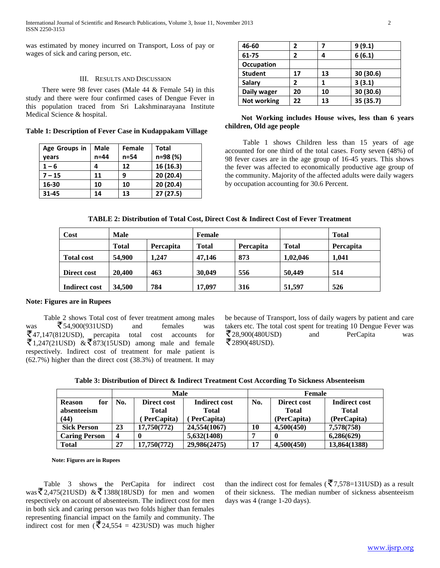was estimated by money incurred on Transport, Loss of pay or wages of sick and caring person, etc.

### III. RESULTS AND DISCUSSION

 There were 98 fever cases (Male 44 & Female 54) in this study and there were four confirmed cases of Dengue Fever in this population traced from Sri Lakshminarayana Institute Medical Science & hospital.

**Table 1: Description of Fever Case in Kudappakam Village**

| Age Groups in | <b>Male</b> | <b>Female</b> | Total     |
|---------------|-------------|---------------|-----------|
| vears         | $n = 44$    | n=54          | n=98 (%)  |
| $1 - 6$       | 4           | 12            | 16 (16.3) |
| $7 - 15$      | 11          | 9             | 20 (20.4) |
| 16-30         | 10          | 10            | 20 (20.4) |
| 31-45         | 14          | 13            | 27(27.5)  |

| 46-60              | 2  |    | 9(9.1)    |
|--------------------|----|----|-----------|
| 61-75              | 2  |    | 6(6.1)    |
| <b>Occupation</b>  |    |    |           |
| <b>Student</b>     | 17 | 13 | 30 (30.6) |
| Salary             | 2  |    | 3(3.1)    |
| Daily wager        | 20 | 10 | 30(30.6)  |
| <b>Not working</b> | 22 | 13 | 35 (35.7) |

# **Not Working includes House wives, less than 6 years children, Old age people**

 Table 1 shows Children less than 15 years of age accounted for one third of the total cases. Forty seven (48%) of 98 fever cases are in the age group of 16-45 years. This shows the fever was affected to economically productive age group of the community. Majority of the affected adults were daily wagers by occupation accounting for 30.6 Percent.

## **TABLE 2: Distribution of Total Cost, Direct Cost & Indirect Cost of Fever Treatment**

| Cost                 | <b>Male</b> |                  | Female       |                  |              | <b>Total</b>     |
|----------------------|-------------|------------------|--------------|------------------|--------------|------------------|
|                      | Total       | <b>Percapita</b> | <b>Total</b> | <b>Percapita</b> | <b>Total</b> | <b>Percapita</b> |
| <b>Total cost</b>    | 54,900      | 1.247            | 47,146       | 873              | 1,02,046     | 1.041            |
| Direct cost          | 20,400      | 463              | 30,049       | 556              | 50,449       | 514              |
| <b>Indirect cost</b> | 34.500      | 784              | 17.097       | 316              | 51,597       | 526              |

# **Note: Figures are in Rupees**

 Table 2 shows Total cost of fever treatment among males was  $\bar{z}$  54,900(931USD) and females was  $\overline{\mathcal{F}}$ 47,147(812USD), percapita total cost accounts for  $\overline{\xi}$ 1,247(21USD)  $\& \overline{\xi}$ 873(15USD) among male and female respectively. Indirect cost of treatment for male patient is (62.7%) higher than the direct cost (38.3%) of treatment. It may

be because of Transport, loss of daily wagers by patient and care takers etc. The total cost spent for treating 10 Dengue Fever was  $\overline{\mathcal{F}}$ 28,900(480USD) and PerCapita was 2890(48USD).

| Table 3: Distribution of Direct & Indirect Treatment Cost According To Sickness Absenteeism |
|---------------------------------------------------------------------------------------------|
|---------------------------------------------------------------------------------------------|

|                      | <b>Male</b> |              |               | Female |              |                      |
|----------------------|-------------|--------------|---------------|--------|--------------|----------------------|
| for<br><b>Reason</b> | No.         | Direct cost  | Indirect cost | No.    | Direct cost  | <b>Indirect cost</b> |
| absenteeism          |             | <b>Total</b> | <b>Total</b>  |        | <b>Total</b> | <b>Total</b>         |
| (44)                 |             | PerCapita)   | PerCapita)    |        | (PerCapita)  | (PerCapita)          |
| <b>Sick Person</b>   | 23          | 17,750(772)  | 24,554(1067)  | 10     | 4,500(450)   | 7,578(758)           |
| <b>Caring Person</b> | 4           |              | 5,632(1408)   |        |              | 6,286(629)           |
| <b>Total</b>         | 27          | 17,750(772)  | 29,986(2475)  | 17     | 4,500(450)   | 13,864(1388)         |

**Note: Figures are in Rupees**

 Table 3 shows the PerCapita for indirect cost was  $\overline{\mathfrak{F}}$  2,475(21USD) &  $\overline{\mathfrak{F}}$  1388(18USD) for men and women respectively on account of absenteeism. The indirect cost for men in both sick and caring person was two folds higher than females representing financial impact on the family and community. The indirect cost for men ( $\overline{5}$ 24,554 = 423USD) was much higher than the indirect cost for females ( $\overline{5}7,578=131$ USD) as a result of their sickness. The median number of sickness absenteeism days was 4 (range 1-20 days).